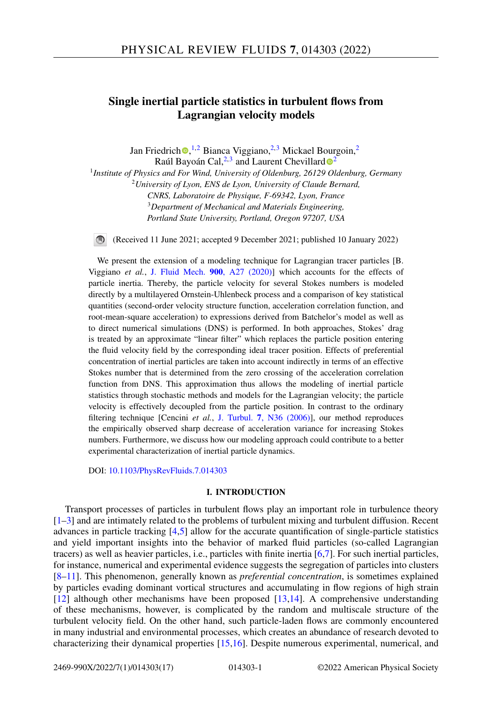# **Single inertial particle statistics in turbulent flows from Lagrangian velocity models**

Jan Friedric[h](https://orcid.org/0000-0002-9862-6268)<sup>®, 1,2</sup> Bianca Viggiano,<sup>2,3</sup> Mickael Bourgoin,<sup>2</sup> Raúl Bayoán Cal,<sup>2,3</sup> an[d](https://orcid.org/0000-0003-1970-4203) Laurent Chevillard  $\Phi^2$ 

<sup>1</sup>*Institute of Physics and For Wind, University of Oldenburg, 26129 Oldenburg, Germany* <sup>2</sup>*University of Lyon, ENS de Lyon, University of Claude Bernard, CNRS, Laboratoire de Physique, F-69342, Lyon, France* <sup>3</sup>*Department of Mechanical and Materials Engineering, Portland State University, Portland, Oregon 97207, USA*

(Received 11 June 2021; accepted 9 December 2021; published 10 January 2022)

We present the extension of a modeling technique for Lagrangian tracer particles [B. Viggiano *et al.*, [J. Fluid Mech.](https://doi.org/10.1017/jfm.2020.495) **900**, A27 (2020)] which accounts for the effects of particle inertia. Thereby, the particle velocity for several Stokes numbers is modeled directly by a multilayered Ornstein-Uhlenbeck process and a comparison of key statistical quantities (second-order velocity structure function, acceleration correlation function, and root-mean-square acceleration) to expressions derived from Batchelor's model as well as to direct numerical simulations (DNS) is performed. In both approaches, Stokes' drag is treated by an approximate "linear filter" which replaces the particle position entering the fluid velocity field by the corresponding ideal tracer position. Effects of preferential concentration of inertial particles are taken into account indirectly in terms of an effective Stokes number that is determined from the zero crossing of the acceleration correlation function from DNS. This approximation thus allows the modeling of inertial particle statistics through stochastic methods and models for the Lagrangian velocity; the particle velocity is effectively decoupled from the particle position. In contrast to the ordinary filtering technique [Cencini *et al.*, J. Turbul. **7**[, N36 \(2006\)\]](https://doi.org/10.1080/14685240600675727), our method reproduces the empirically observed sharp decrease of acceleration variance for increasing Stokes numbers. Furthermore, we discuss how our modeling approach could contribute to a better experimental characterization of inertial particle dynamics.

DOI: [10.1103/PhysRevFluids.7.014303](https://doi.org/10.1103/PhysRevFluids.7.014303)

### **I. INTRODUCTION**

Transport processes of particles in turbulent flows play an important role in turbulence theory  $[1–3]$  and are intimately related to the problems of turbulent mixing and turbulent diffusion. Recent advances in particle tracking [\[4,5\]](#page-14-0) allow for the accurate quantification of single-particle statistics and yield important insights into the behavior of marked fluid particles (so-called Lagrangian tracers) as well as heavier particles, i.e., particles with finite inertia [\[6,7\]](#page-14-0). For such inertial particles, for instance, numerical and experimental evidence suggests the segregation of particles into clusters [\[8–11\]](#page-14-0). This phenomenon, generally known as *preferential concentration*, is sometimes explained by particles evading dominant vortical structures and accumulating in flow regions of high strain [\[12\]](#page-14-0) although other mechanisms have been proposed [\[13,14\]](#page-14-0). A comprehensive understanding of these mechanisms, however, is complicated by the random and multiscale structure of the turbulent velocity field. On the other hand, such particle-laden flows are commonly encountered in many industrial and environmental processes, which creates an abundance of research devoted to characterizing their dynamical properties [\[15,16\]](#page-14-0). Despite numerous experimental, numerical, and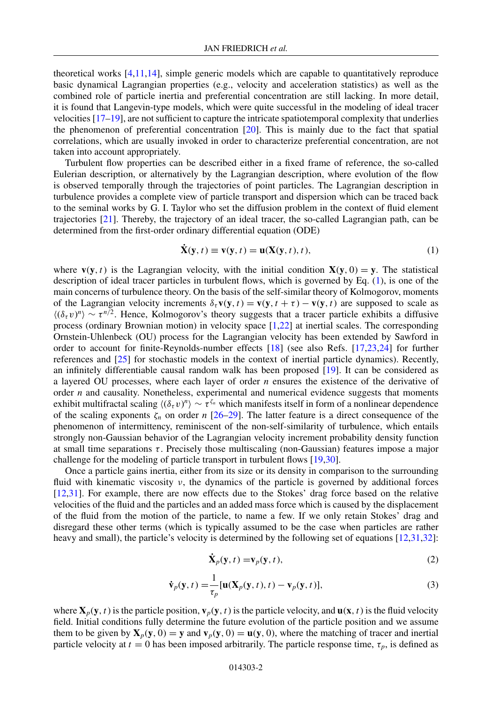<span id="page-1-0"></span>theoretical works [\[4,11,14\]](#page-14-0), simple generic models which are capable to quantitatively reproduce basic dynamical Lagrangian properties (e.g., velocity and acceleration statistics) as well as the combined role of particle inertia and preferential concentration are still lacking. In more detail, it is found that Langevin-type models, which were quite successful in the modeling of ideal tracer velocities [\[17–19\]](#page-15-0), are not sufficient to capture the intricate spatiotemporal complexity that underlies the phenomenon of preferential concentration [\[20\]](#page-15-0). This is mainly due to the fact that spatial correlations, which are usually invoked in order to characterize preferential concentration, are not taken into account appropriately.

Turbulent flow properties can be described either in a fixed frame of reference, the so-called Eulerian description, or alternatively by the Lagrangian description, where evolution of the flow is observed temporally through the trajectories of point particles. The Lagrangian description in turbulence provides a complete view of particle transport and dispersion which can be traced back to the seminal works by G. I. Taylor who set the diffusion problem in the context of fluid element trajectories [\[21\]](#page-15-0). Thereby, the trajectory of an ideal tracer, the so-called Lagrangian path, can be determined from the first-order ordinary differential equation (ODE)

$$
\dot{\mathbf{X}}(\mathbf{y},t) \equiv \mathbf{v}(\mathbf{y},t) = \mathbf{u}(\mathbf{X}(\mathbf{y},t),t),
$$
\n(1)

where **v**(**y**,*t*) is the Lagrangian velocity, with the initial condition  $X(y, 0) = y$ . The statistical description of ideal tracer particles in turbulent flows, which is governed by Eq. (1), is one of the main concerns of turbulence theory. On the basis of the self-similar theory of Kolmogorov, moments of the Lagrangian velocity increments  $\delta_{\tau}$ **v**(**y**,*t*) = **v**(**y**,*t* +  $\tau$ ) – **v**(**y**,*t*) are supposed to scale as  $\langle (\delta_\tau v)^n \rangle \sim \tau^{n/2}$ . Hence, Kolmogorov's theory suggests that a tracer particle exhibits a diffusive process (ordinary Brownian motion) in velocity space [\[1](#page-14-0)[,22\]](#page-15-0) at inertial scales. The corresponding Ornstein-Uhlenbeck (OU) process for the Lagrangian velocity has been extended by Sawford in order to account for finite-Reynolds-number effects [\[18\]](#page-15-0) (see also Refs. [\[17,23,24\]](#page-15-0) for further references and [\[25\]](#page-15-0) for stochastic models in the context of inertial particle dynamics). Recently, an infinitely differentiable causal random walk has been proposed [\[19\]](#page-15-0). It can be considered as a layered OU processes, where each layer of order *n* ensures the existence of the derivative of order *n* and causality. Nonetheless, experimental and numerical evidence suggests that moments exhibit multifractal scaling  $\langle (\delta_\tau v)^n \rangle \sim \tau^{\zeta_n}$  which manifests itself in form of a nonlinear dependence of the scaling exponents  $\zeta_n$  on order *n* [\[26–29\]](#page-15-0). The latter feature is a direct consequence of the phenomenon of intermittency, reminiscent of the non-self-similarity of turbulence, which entails strongly non-Gaussian behavior of the Lagrangian velocity increment probability density function at small time separations  $\tau$ . Precisely those multiscaling (non-Gaussian) features impose a major challenge for the modeling of particle transport in turbulent flows [\[19,30\]](#page-15-0).

Once a particle gains inertia, either from its size or its density in comparison to the surrounding fluid with kinematic viscosity  $\nu$ , the dynamics of the particle is governed by additional forces [\[12,](#page-14-0)[31\]](#page-15-0). For example, there are now effects due to the Stokes' drag force based on the relative velocities of the fluid and the particles and an added mass force which is caused by the displacement of the fluid from the motion of the particle, to name a few. If we only retain Stokes' drag and disregard these other terms (which is typically assumed to be the case when particles are rather heavy and small), the particle's velocity is determined by the following set of equations [\[12](#page-14-0)[,31,32\]](#page-15-0):

$$
\dot{\mathbf{X}}_p(\mathbf{y},t) = \mathbf{v}_p(\mathbf{y},t),\tag{2}
$$

$$
\dot{\mathbf{v}}_p(\mathbf{y},t) = \frac{1}{\tau_p}[\mathbf{u}(\mathbf{X}_p(\mathbf{y},t),t) - \mathbf{v}_p(\mathbf{y},t)],\tag{3}
$$

where  $\mathbf{X}_p(\mathbf{y},t)$  is the particle position,  $\mathbf{v}_p(\mathbf{y},t)$  is the particle velocity, and  $\mathbf{u}(\mathbf{x},t)$  is the fluid velocity field. Initial conditions fully determine the future evolution of the particle position and we assume them to be given by  $\mathbf{X}_p(\mathbf{y}, 0) = \mathbf{y}$  and  $\mathbf{v}_p(\mathbf{y}, 0) = \mathbf{u}(\mathbf{y}, 0)$ , where the matching of tracer and inertial particle velocity at  $t = 0$  has been imposed arbitrarily. The particle response time,  $\tau_p$ , is defined as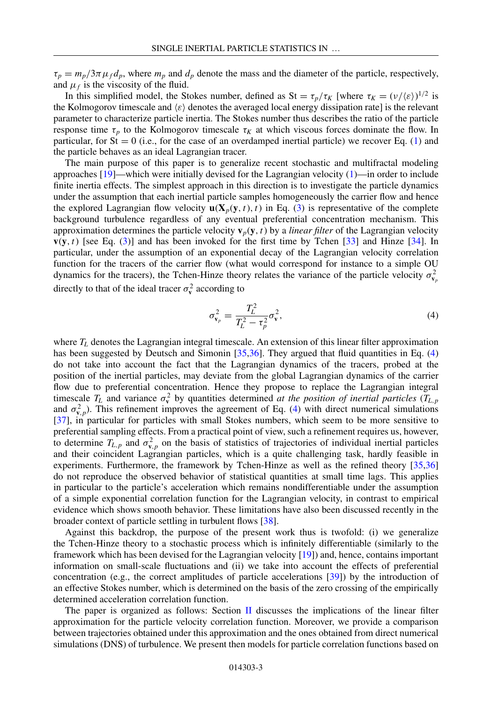<span id="page-2-0"></span> $\tau_p = m_p/3\pi \mu_f d_p$ , where  $m_p$  and  $d_p$  denote the mass and the diameter of the particle, respectively, and  $\mu_f$  is the viscosity of the fluid.

In this simplified model, the Stokes number, defined as  $St = \tau_p/\tau_K$  [where  $\tau_K = (\nu/(\varepsilon))^{1/2}$  is the Kolmogorov timescale and  $\langle \varepsilon \rangle$  denotes the averaged local energy dissipation rate] is the relevant parameter to characterize particle inertia. The Stokes number thus describes the ratio of the particle response time  $\tau_p$  to the Kolmogorov timescale  $\tau_k$  at which viscous forces dominate the flow. In particular, for  $St = 0$  (i.e., for the case of an overdamped inertial particle) we recover Eq. [\(1\)](#page-1-0) and the particle behaves as an ideal Lagrangian tracer.

The main purpose of this paper is to generalize recent stochastic and multifractal modeling approaches [\[19\]](#page-15-0)—which were initially devised for the Lagrangian velocity [\(1\)](#page-1-0)—in order to include finite inertia effects. The simplest approach in this direction is to investigate the particle dynamics under the assumption that each inertial particle samples homogeneously the carrier flow and hence the explored Lagrangian flow velocity  $u(X_p(y, t), t)$  in Eq. [\(3\)](#page-1-0) is representative of the complete background turbulence regardless of any eventual preferential concentration mechanism. This approximation determines the particle velocity  $\mathbf{v}_p(\mathbf{y},t)$  by a *linear filter* of the Lagrangian velocity  **[see Eq. [\(3\)](#page-1-0)] and has been invoked for the first time by Tchen [\[33\]](#page-15-0) and Hinze [\[34\]](#page-15-0). In** particular, under the assumption of an exponential decay of the Lagrangian velocity correlation function for the tracers of the carrier flow (what would correspond for instance to a simple OU dynamics for the tracers), the Tchen-Hinze theory relates the variance of the particle velocity  $\sigma_{v_p}^2$ directly to that of the ideal tracer  $\sigma_v^2$  according to

$$
\sigma_{\mathbf{v}_p}^2 = \frac{T_L^2}{T_L^2 - \tau_p^2} \sigma_{\mathbf{v}}^2,\tag{4}
$$

where  $T_L$  denotes the Lagrangian integral timescale. An extension of this linear filter approximation has been suggested by Deutsch and Simonin [\[35,36\]](#page-15-0). They argued that fluid quantities in Eq. (4) do not take into account the fact that the Lagrangian dynamics of the tracers, probed at the position of the inertial particles, may deviate from the global Lagrangian dynamics of the carrier flow due to preferential concentration. Hence they propose to replace the Lagrangian integral timescale  $T_L$  and variance  $\sigma_v^2$  by quantities determined *at the position of inertial particles*  $(T_{L,p})$ and  $\sigma_{v,p}^2$ ). This refinement improves the agreement of Eq. (4) with direct numerical simulations [\[37\]](#page-15-0), in particular for particles with small Stokes numbers, which seem to be more sensitive to preferential sampling effects. From a practical point of view, such a refinement requires us, however, to determine  $T_{L,p}$  and  $\sigma_{v,p}^2$  on the basis of statistics of trajectories of individual inertial particles and their coincident Lagrangian particles, which is a quite challenging task, hardly feasible in experiments. Furthermore, the framework by Tchen-Hinze as well as the refined theory [\[35,36\]](#page-15-0) do not reproduce the observed behavior of statistical quantities at small time lags. This applies in particular to the particle's acceleration which remains nondifferentiable under the assumption of a simple exponential correlation function for the Lagrangian velocity, in contrast to empirical evidence which shows smooth behavior. These limitations have also been discussed recently in the broader context of particle settling in turbulent flows [\[38\]](#page-15-0).

Against this backdrop, the purpose of the present work thus is twofold: (i) we generalize the Tchen-Hinze theory to a stochastic process which is infinitely differentiable (similarly to the framework which has been devised for the Lagrangian velocity [\[19\]](#page-15-0)) and, hence, contains important information on small-scale fluctuations and (ii) we take into account the effects of preferential concentration (e.g., the correct amplitudes of particle accelerations [\[39\]](#page-15-0)) by the introduction of an effective Stokes number, which is determined on the basis of the zero crossing of the empirically determined acceleration correlation function.

The paper is organized as follows: Section [II](#page-3-0) discusses the implications of the linear filter approximation for the particle velocity correlation function. Moreover, we provide a comparison between trajectories obtained under this approximation and the ones obtained from direct numerical simulations (DNS) of turbulence. We present then models for particle correlation functions based on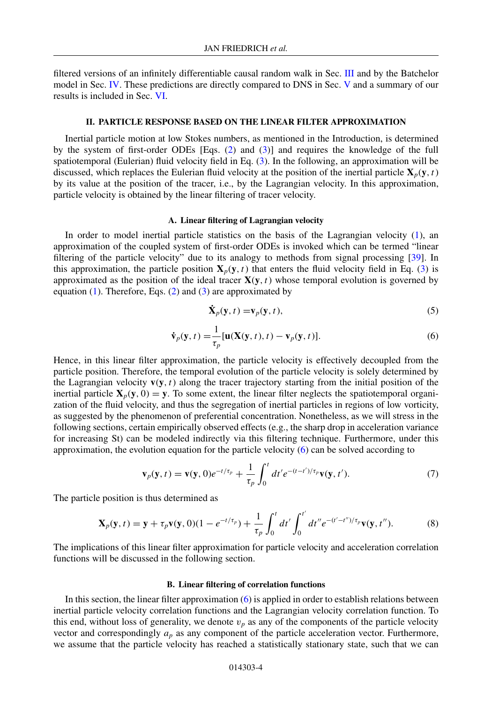<span id="page-3-0"></span>filtered versions of an infinitely differentiable causal random walk in Sec. [III](#page-7-0) and by the Batchelor model in Sec. [IV.](#page-9-0) These predictions are directly compared to DNS in Sec. [V](#page-10-0) and a summary of our results is included in Sec. [VI.](#page-13-0)

#### **II. PARTICLE RESPONSE BASED ON THE LINEAR FILTER APPROXIMATION**

Inertial particle motion at low Stokes numbers, as mentioned in the Introduction, is determined by the system of first-order ODEs [Eqs. [\(2\)](#page-1-0) and [\(3\)](#page-1-0)] and requires the knowledge of the full spatiotemporal (Eulerian) fluid velocity field in Eq. [\(3\)](#page-1-0). In the following, an approximation will be discussed, which replaces the Eulerian fluid velocity at the position of the inertial particle  $\mathbf{X}_p(\mathbf{y},t)$ by its value at the position of the tracer, i.e., by the Lagrangian velocity. In this approximation, particle velocity is obtained by the linear filtering of tracer velocity.

## **A. Linear filtering of Lagrangian velocity**

In order to model inertial particle statistics on the basis of the Lagrangian velocity [\(1\)](#page-1-0), an approximation of the coupled system of first-order ODEs is invoked which can be termed "linear filtering of the particle velocity" due to its analogy to methods from signal processing [\[39\]](#page-15-0). In this approximation, the particle position  $\mathbf{X}_p(\mathbf{y},t)$  that enters the fluid velocity field in Eq. [\(3\)](#page-1-0) is approximated as the position of the ideal tracer  $\mathbf{X}(\mathbf{y},t)$  whose temporal evolution is governed by equation [\(1\)](#page-1-0). Therefore, Eqs.  $(2)$  and  $(3)$  are approximated by

$$
\dot{\mathbf{X}}_p(\mathbf{y},t) = \mathbf{v}_p(\mathbf{y},t),\tag{5}
$$

$$
\dot{\mathbf{v}}_p(\mathbf{y},t) = \frac{1}{\tau_p}[\mathbf{u}(\mathbf{X}(\mathbf{y},t),t) - \mathbf{v}_p(\mathbf{y},t)].
$$
\n(6)

Hence, in this linear filter approximation, the particle velocity is effectively decoupled from the particle position. Therefore, the temporal evolution of the particle velocity is solely determined by the Lagrangian velocity  $\mathbf{v}(\mathbf{y},t)$  along the tracer trajectory starting from the initial position of the inertial particle  $\mathbf{X}_p(\mathbf{y},0) = \mathbf{y}$ . To some extent, the linear filter neglects the spatiotemporal organization of the fluid velocity, and thus the segregation of inertial particles in regions of low vorticity, as suggested by the phenomenon of preferential concentration. Nonetheless, as we will stress in the following sections, certain empirically observed effects (e.g., the sharp drop in acceleration variance for increasing St) can be modeled indirectly via this filtering technique. Furthermore, under this approximation, the evolution equation for the particle velocity  $(6)$  can be solved according to

$$
\mathbf{v}_p(\mathbf{y},t) = \mathbf{v}(\mathbf{y},0)e^{-t/\tau_p} + \frac{1}{\tau_p} \int_0^t dt' e^{-(t-t')/\tau_p} \mathbf{v}(\mathbf{y},t'). \tag{7}
$$

The particle position is thus determined as

$$
\mathbf{X}_p(\mathbf{y},t) = \mathbf{y} + \tau_p \mathbf{v}(\mathbf{y},0)(1 - e^{-t/\tau_p}) + \frac{1}{\tau_p} \int_0^t dt' \int_0^{t'} dt'' e^{-(t'-t'')/\tau_p} \mathbf{v}(\mathbf{y},t''). \tag{8}
$$

The implications of this linear filter approximation for particle velocity and acceleration correlation functions will be discussed in the following section.

## **B. Linear filtering of correlation functions**

In this section, the linear filter approximation (6) is applied in order to establish relations between inertial particle velocity correlation functions and the Lagrangian velocity correlation function. To this end, without loss of generality, we denote  $v_p$  as any of the components of the particle velocity vector and correspondingly  $a_p$  as any component of the particle acceleration vector. Furthermore, we assume that the particle velocity has reached a statistically stationary state, such that we can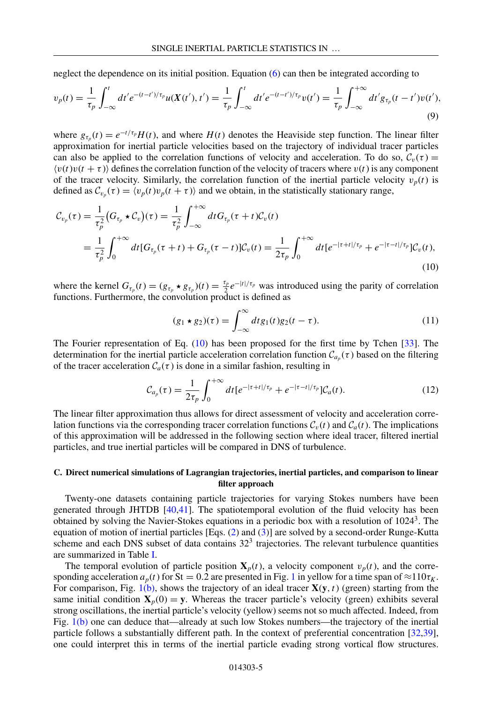<span id="page-4-0"></span>neglect the dependence on its initial position. Equation [\(6\)](#page-3-0) can then be integrated according to

$$
v_p(t) = \frac{1}{\tau_p} \int_{-\infty}^t dt' e^{-(t-t')/\tau_p} u(X(t'), t') = \frac{1}{\tau_p} \int_{-\infty}^t dt' e^{-(t-t')/\tau_p} v(t') = \frac{1}{\tau_p} \int_{-\infty}^{+\infty} dt' g_{\tau_p}(t - t') v(t'),
$$
\n(9)

where  $g_{\tau_p}(t) = e^{-t/\tau_p}H(t)$ , and where  $H(t)$  denotes the Heaviside step function. The linear filter approximation for inertial particle velocities based on the trajectory of individual tracer particles can also be applied to the correlation functions of velocity and acceleration. To do so,  $C_v(\tau)$  =  $\langle v(t)v(t+\tau) \rangle$  defines the correlation function of the velocity of tracers where  $v(t)$  is any component of the tracer velocity. Similarly, the correlation function of the inertial particle velocity  $v_p(t)$  is defined as  $C_{v_p}(\tau) = \langle v_p(t)v_p(t + \tau) \rangle$  and we obtain, in the statistically stationary range,

$$
\mathcal{C}_{v_p}(\tau) = \frac{1}{\tau_p^2} \left( G_{\tau_p} \star \mathcal{C}_v \right)(\tau) = \frac{1}{\tau_p^2} \int_{-\infty}^{+\infty} dt \, G_{\tau_p}(\tau + t) \mathcal{C}_v(t)
$$
\n
$$
= \frac{1}{\tau_p^2} \int_0^{+\infty} dt \left[ G_{\tau_p}(\tau + t) + G_{\tau_p}(\tau - t) \right] \mathcal{C}_v(t) = \frac{1}{2\tau_p} \int_0^{+\infty} dt \left[ e^{-|\tau + t|/\tau_p} + e^{-|\tau - t|/\tau_p} \right] \mathcal{C}_v(t), \tag{10}
$$

where the kernel  $G_{\tau_p}(t) = (g_{\tau_p} \star g_{\tau_p})(t) = \frac{\tau_p}{2} e^{-|t|/\tau_p}$  was introduced using the parity of correlation functions. Furthermore, the convolution product is defined as

$$
(g_1 * g_2)(\tau) = \int_{-\infty}^{\infty} dt g_1(t) g_2(t - \tau).
$$
 (11)

The Fourier representation of Eq. (10) has been proposed for the first time by Tchen [\[33\]](#page-15-0). The determination for the inertial particle acceleration correlation function  $C_{a_p}(\tau)$  based on the filtering of the tracer acceleration  $C_a(\tau)$  is done in a similar fashion, resulting in

$$
\mathcal{C}_{a_p}(\tau) = \frac{1}{2\tau_p} \int_0^{+\infty} dt \left[ e^{-|\tau + t|/\tau_p} + e^{-|\tau - t|/\tau_p} \right] \mathcal{C}_a(t).
$$
 (12)

The linear filter approximation thus allows for direct assessment of velocity and acceleration correlation functions via the corresponding tracer correlation functions  $C_v(t)$  and  $C_a(t)$ . The implications of this approximation will be addressed in the following section where ideal tracer, filtered inertial particles, and true inertial particles will be compared in DNS of turbulence.

# **C. Direct numerical simulations of Lagrangian trajectories, inertial particles, and comparison to linear filter approach**

Twenty-one datasets containing particle trajectories for varying Stokes numbers have been generated through JHTDB [\[40,](#page-15-0)[41\]](#page-16-0). The spatiotemporal evolution of the fluid velocity has been obtained by solving the Navier-Stokes equations in a periodic box with a resolution of  $1024<sup>3</sup>$ . The equation of motion of inertial particles [Eqs. [\(2\)](#page-1-0) and [\(3\)](#page-1-0)] are solved by a second-order Runge-Kutta scheme and each DNS subset of data contains  $32<sup>3</sup>$  trajectories. The relevant turbulence quantities are summarized in Table [I.](#page-5-0)

The temporal evolution of particle position  $\mathbf{X}_p(t)$ , a velocity component  $v_p(t)$ , and the corresponding acceleration  $a_p(t)$  for St = 0.2 are presented in Fig. [1](#page-5-0) in yellow for a time span of  $\approx 110\tau_K$ . For comparison, Fig. [1\(b\),](#page-5-0) shows the trajectory of an ideal tracer  $\mathbf{X}(y, t)$  (green) starting from the same initial condition  $\mathbf{X}_p(0) = \mathbf{y}$ . Whereas the tracer particle's velocity (green) exhibits several strong oscillations, the inertial particle's velocity (yellow) seems not so much affected. Indeed, from Fig. [1\(b\)](#page-5-0) one can deduce that—already at such low Stokes numbers—the trajectory of the inertial particle follows a substantially different path. In the context of preferential concentration [\[32,39\]](#page-15-0), one could interpret this in terms of the inertial particle evading strong vortical flow structures.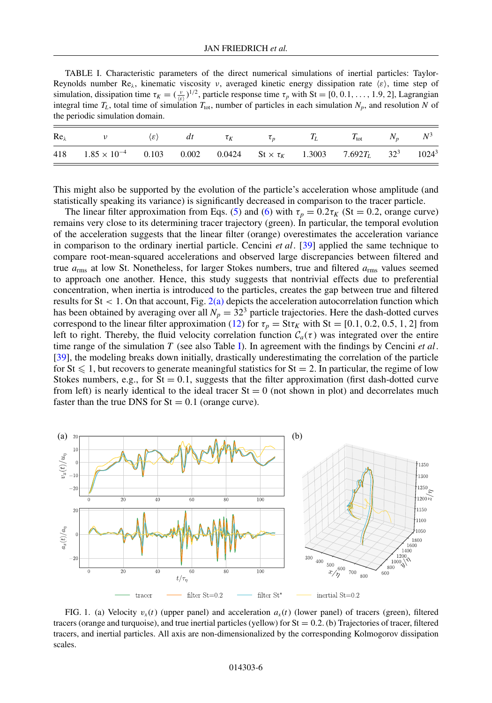<span id="page-5-0"></span>TABLE I. Characteristic parameters of the direct numerical simulations of inertial particles: Taylor-Reynolds number Re<sub>λ</sub>, kinematic viscosity *v*, averaged kinetic energy dissipation rate  $\langle \varepsilon \rangle$ , time step of simulation, dissipation time  $\tau_K = (\frac{v}{\langle \varepsilon \rangle})^{1/2}$ , particle response time  $\tau_p$  with St = [0, 0.1, ..., 1.9, 2], Lagrangian integral time  $T_L$ , total time of simulation  $T_{\text{tot}}$ , number of particles in each simulation  $N_p$ , and resolution  $N$  of the periodic simulation domain.

| $Re_{\lambda}$ | $\nu$                                                                                                                | $\langle \varepsilon \rangle$ |  |  | dt $\tau_K$ $\tau_p$ $T_L$ $T_{\text{tot}}$ $N_p$ $N^3$ |  |
|----------------|----------------------------------------------------------------------------------------------------------------------|-------------------------------|--|--|---------------------------------------------------------|--|
|                | 418 $1.85 \times 10^{-4}$ 0.103 0.002 0.0424 St $\times \tau_K$ 1.3003 7.692 $T_L$ 32 <sup>3</sup> 1024 <sup>3</sup> |                               |  |  |                                                         |  |

This might also be supported by the evolution of the particle's acceleration whose amplitude (and statistically speaking its variance) is significantly decreased in comparison to the tracer particle.

The linear filter approximation from Eqs. [\(5\)](#page-3-0) and [\(6\)](#page-3-0) with  $\tau_p = 0.2\tau_K$  (St = 0.2, orange curve) remains very close to its determining tracer trajectory (green). In particular, the temporal evolution of the acceleration suggests that the linear filter (orange) overestimates the acceleration variance in comparison to the ordinary inertial particle. Cencini *et al*. [\[39\]](#page-15-0) applied the same technique to compare root-mean-squared accelerations and observed large discrepancies between filtered and true  $a_{\text{rms}}$  at low St. Nonetheless, for larger Stokes numbers, true and filtered  $a_{\text{rms}}$  values seemed to approach one another. Hence, this study suggests that nontrivial effects due to preferential concentration, when inertia is introduced to the particles, creates the gap between true and filtered results for  $St < 1$ . On that account, Fig. [2\(a\)](#page-6-0) depicts the acceleration autocorrelation function which has been obtained by averaging over all  $N_p = 32<sup>3</sup>$  particle trajectories. Here the dash-dotted curves correspond to the linear filter approximation [\(12\)](#page-4-0) for  $\tau_p = \text{St}\tau_k$  with St = [0.1, 0.2, 0.5, 1, 2] from left to right. Thereby, the fluid velocity correlation function  $C_a(\tau)$  was integrated over the entire time range of the simulation *T* (see also Table I). In agreement with the findings by Cencini *et al*. [\[39\]](#page-15-0), the modeling breaks down initially, drastically underestimating the correlation of the particle for St  $\leq 1$ , but recovers to generate meaningful statistics for St = 2. In particular, the regime of low Stokes numbers, e.g., for  $St = 0.1$ , suggests that the filter approximation (first dash-dotted curve from left) is nearly identical to the ideal tracer  $St = 0$  (not shown in plot) and decorrelates much faster than the true DNS for  $St = 0.1$  (orange curve).



FIG. 1. (a) Velocity  $v_x(t)$  (upper panel) and acceleration  $a_x(t)$  (lower panel) of tracers (green), filtered tracers (orange and turquoise), and true inertial particles (yellow) for  $St = 0.2$ . (b) Trajectories of tracer, filtered tracers, and inertial particles. All axis are non-dimensionalized by the corresponding Kolmogorov dissipation scales.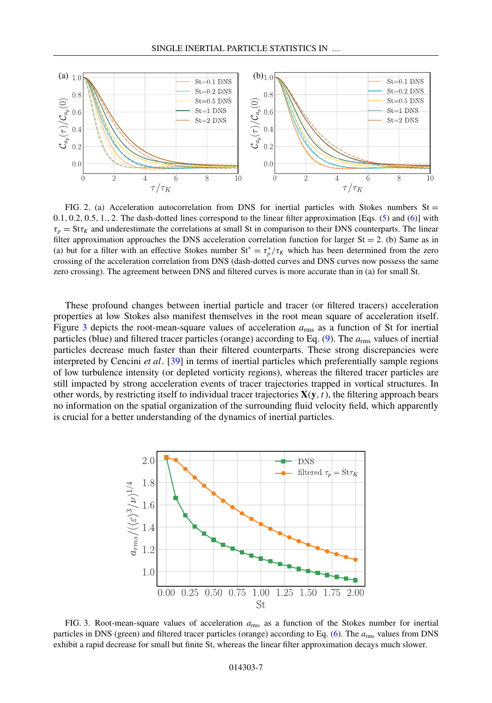<span id="page-6-0"></span>

FIG. 2. (a) Acceleration autocorrelation from DNS for inertial particles with Stokes numbers  $St =$ 0.1, 0.2, 0.5, 1., 2. The dash-dotted lines correspond to the linear filter approximation [Eqs. [\(5\)](#page-3-0) and [\(6\)](#page-3-0)] with  $\tau_p = \text{Str}_K$  and underestimate the correlations at small St in comparison to their DNS counterparts. The linear filter approximation approaches the DNS acceleration correlation function for larger  $St = 2$ . (b) Same as in (a) but for a filter with an effective Stokes number  $St^* = \tau_p^* / \tau_K$  which has been determined from the zero crossing of the acceleration correlation from DNS (dash-dotted curves and DNS curves now possess the same zero crossing). The agreement between DNS and filtered curves is more accurate than in (a) for small St.

These profound changes between inertial particle and tracer (or filtered tracers) acceleration properties at low Stokes also manifest themselves in the root mean square of acceleration itself. Figure 3 depicts the root-mean-square values of acceleration  $a_{\rm rms}$  as a function of St for inertial particles (blue) and filtered tracer particles (orange) according to Eq. [\(9\)](#page-4-0). The *a*rms values of inertial particles decrease much faster than their filtered counterparts. These strong discrepancies were interpreted by Cencini *et al*. [\[39\]](#page-15-0) in terms of inertial particles which preferentially sample regions of low turbulence intensity (or depleted vorticity regions), whereas the filtered tracer particles are still impacted by strong acceleration events of tracer trajectories trapped in vortical structures. In other words, by restricting itself to individual tracer trajectories  $\mathbf{X}(\mathbf{y},t)$ , the filtering approach bears no information on the spatial organization of the surrounding fluid velocity field, which apparently is crucial for a better understanding of the dynamics of inertial particles.



FIG. 3. Root-mean-square values of acceleration *a*rms as a function of the Stokes number for inertial particles in DNS (green) and filtered tracer particles (orange) according to Eq. [\(6\)](#page-3-0). The *a*rms values from DNS exhibit a rapid decrease for small but finite St, whereas the linear filter approximation decays much slower.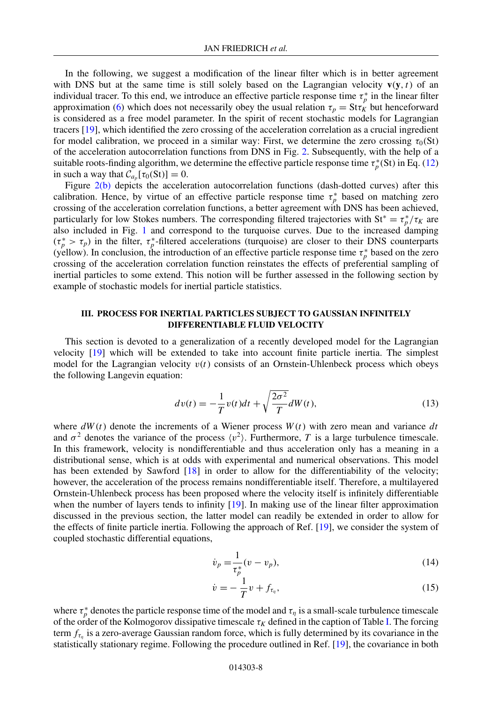<span id="page-7-0"></span>In the following, we suggest a modification of the linear filter which is in better agreement with DNS but at the same time is still solely based on the Lagrangian velocity  $\mathbf{v}(\mathbf{y},t)$  of an individual tracer. To this end, we introduce an effective particle response time  $\tau_p^*$  in the linear filter approximation [\(6\)](#page-3-0) which does not necessarily obey the usual relation  $\tau_p = \text{Str}_K$  but henceforward is considered as a free model parameter. In the spirit of recent stochastic models for Lagrangian tracers [\[19\]](#page-15-0), which identified the zero crossing of the acceleration correlation as a crucial ingredient for model calibration, we proceed in a similar way: First, we determine the zero crossing  $\tau_0(\text{St})$ of the acceleration autocorrelation functions from DNS in Fig. [2.](#page-6-0) Subsequently, with the help of a suitable roots-finding algorithm, we determine the effective particle response time  $\tau_p^*({\rm St})$  in Eq. [\(12\)](#page-4-0) in such a way that  $C_{a_p}[\tau_0(\text{St})] = 0$ .

Figure [2\(b\)](#page-6-0) depicts the acceleration autocorrelation functions (dash-dotted curves) after this calibration. Hence, by virtue of an effective particle response time  $\tau_p^*$  based on matching zero crossing of the acceleration correlation functions, a better agreement with DNS has been achieved, particularly for low Stokes numbers. The corresponding filtered trajectories with St<sup>\*</sup> =  $\tau_p^*/\tau_K$  are also included in Fig. [1](#page-5-0) and correspond to the turquoise curves. Due to the increased damping  $(\tau_p^* > \tau_p)$  in the filter,  $\tau_p^*$ -filtered accelerations (turquoise) are closer to their DNS counterparts (yellow). In conclusion, the introduction of an effective particle response time  $\tau_p^*$  based on the zero crossing of the acceleration correlation function reinstates the effects of preferential sampling of inertial particles to some extend. This notion will be further assessed in the following section by example of stochastic models for inertial particle statistics.

## **III. PROCESS FOR INERTIAL PARTICLES SUBJECT TO GAUSSIAN INFINITELY DIFFERENTIABLE FLUID VELOCITY**

This section is devoted to a generalization of a recently developed model for the Lagrangian velocity [\[19\]](#page-15-0) which will be extended to take into account finite particle inertia. The simplest model for the Lagrangian velocity  $v(t)$  consists of an Ornstein-Uhlenbeck process which obeys the following Langevin equation:

$$
dv(t) = -\frac{1}{T}v(t)dt + \sqrt{\frac{2\sigma^2}{T}}dW(t),
$$
\n(13)

where  $dW(t)$  denote the increments of a Wiener process  $W(t)$  with zero mean and variance  $dt$ and  $\sigma^2$  denotes the variance of the process  $\langle v^2 \rangle$ . Furthermore, *T* is a large turbulence timescale. In this framework, velocity is nondifferentiable and thus acceleration only has a meaning in a distributional sense, which is at odds with experimental and numerical observations. This model has been extended by Sawford [\[18\]](#page-15-0) in order to allow for the differentiability of the velocity; however, the acceleration of the process remains nondifferentiable itself. Therefore, a multilayered Ornstein-Uhlenbeck process has been proposed where the velocity itself is infinitely differentiable when the number of layers tends to infinity [\[19\]](#page-15-0). In making use of the linear filter approximation discussed in the previous section, the latter model can readily be extended in order to allow for the effects of finite particle inertia. Following the approach of Ref. [\[19\]](#page-15-0), we consider the system of coupled stochastic differential equations,

$$
\dot{v}_p = \frac{1}{\tau_p^*} (v - v_p),\tag{14}
$$

$$
\dot{v} = -\frac{1}{T}v + f_{\tau_{\eta}},\tag{15}
$$

where  $\tau_p^*$  denotes the particle response time of the model and  $\tau_\eta$  is a small-scale turbulence timescale of the order of the Kolmogorov dissipative timescale  $\tau_K$  defined in the caption of Table [I.](#page-5-0) The forcing term  $f_{\tau_n}$  is a zero-average Gaussian random force, which is fully determined by its covariance in the statistically stationary regime. Following the procedure outlined in Ref. [\[19\]](#page-15-0), the covariance in both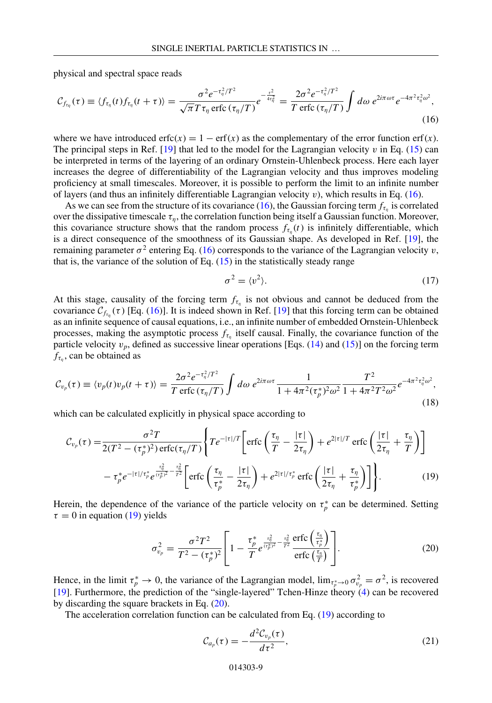<span id="page-8-0"></span>physical and spectral space reads

$$
C_{f_{\tau_{\eta}}}(\tau) \equiv \langle f_{\tau_{\eta}}(t) f_{\tau_{\eta}}(t+\tau) \rangle = \frac{\sigma^2 e^{-\tau_{\eta}^2/T^2}}{\sqrt{\pi} T \tau_{\eta} \operatorname{erfc}(\tau_{\eta}/T)} e^{-\frac{\tau^2}{4\tau_{\eta}^2}} = \frac{2\sigma^2 e^{-\tau_{\eta}^2/T^2}}{T \operatorname{erfc}(\tau_{\eta}/T)} \int d\omega \ e^{2i\pi \omega \tau} e^{-4\pi^2 \tau_{\eta}^2 \omega^2}, \tag{16}
$$

where we have introduced erfc( $x$ ) = 1 – erf( $x$ ) as the complementary of the error function erf( $x$ ). The principal steps in Ref.  $[19]$  that led to the model for the Lagrangian velocity *v* in Eq. [\(15\)](#page-7-0) can be interpreted in terms of the layering of an ordinary Ornstein-Uhlenbeck process. Here each layer increases the degree of differentiability of the Lagrangian velocity and thus improves modeling proficiency at small timescales. Moreover, it is possible to perform the limit to an infinite number of layers (and thus an infinitely differentiable Lagrangian velocity *v*), which results in Eq. (16).

As we can see from the structure of its covariance (16), the Gaussian forcing term  $f_{\tau_n}$  is correlated over the dissipative timescale  $\tau_n$ , the correlation function being itself a Gaussian function. Moreover, this covariance structure shows that the random process  $f_{\tau_n}(t)$  is infinitely differentiable, which is a direct consequence of the smoothness of its Gaussian shape. As developed in Ref. [\[19\]](#page-15-0), the remaining parameter  $\sigma^2$  entering Eq. (16) corresponds to the variance of the Lagrangian velocity *v*, that is, the variance of the solution of Eq.  $(15)$  in the statistically steady range

$$
\sigma^2 = \langle v^2 \rangle. \tag{17}
$$

At this stage, causality of the forcing term  $f_{\tau_{\eta}}$  is not obvious and cannot be deduced from the covariance  $C_{f_{\tau_n}}(\tau)$  [Eq. (16)]. It is indeed shown in Ref. [\[19\]](#page-15-0) that this forcing term can be obtained as an infinite sequence of causal equations, i.e., an infinite number of embedded Ornstein-Uhlenbeck processes, making the asymptotic process  $f_{\tau_n}$  itself causal. Finally, the covariance function of the particle velocity  $v_p$ , defined as successive linear operations [Eqs. [\(14\)](#page-7-0) and [\(15\)](#page-7-0)] on the forcing term  $f_{\tau_n}$ , can be obtained as

$$
C_{v_p}(\tau) \equiv \langle v_p(t) v_p(t+\tau) \rangle = \frac{2\sigma^2 e^{-\tau_\eta^2/T^2}}{T \operatorname{erfc}(\tau_\eta/T)} \int d\omega \, e^{2i\pi\omega\tau} \frac{1}{1 + 4\pi^2 (\tau_p^*)^2 \omega^2} \frac{T^2}{1 + 4\pi^2 T^2 \omega^2} e^{-4\pi^2 \tau_\eta^2 \omega^2},\tag{18}
$$

which can be calculated explicitly in physical space according to

$$
C_{v_p}(\tau) = \frac{\sigma^2 T}{2(T^2 - (\tau_p^*)^2) \operatorname{erfc}(\tau_\eta/T)} \left\{ T e^{-|\tau|/T} \left[ \operatorname{erfc}\left(\frac{\tau_\eta}{T} - \frac{|\tau|}{2\tau_\eta}\right) + e^{2|\tau|/T} \operatorname{erfc}\left(\frac{|\tau|}{2\tau_\eta} + \frac{\tau_\eta}{T}\right) \right] - \tau_p^* e^{-|\tau|/\tau_p^*} e^{\frac{\tau_\eta^2}{(\tau_p^*)^2} - \frac{\tau_\eta^2}{T^2}} \left[ \operatorname{erfc}\left(\frac{\tau_\eta}{\tau_p^*} - \frac{|\tau|}{2\tau_\eta}\right) + e^{2|\tau|/\tau_p^*} \operatorname{erfc}\left(\frac{|\tau|}{2\tau_\eta} + \frac{\tau_\eta}{\tau_p^*}\right) \right] \right\}.
$$
 (19)

Herein, the dependence of the variance of the particle velocity on  $\tau_p^*$  can be determined. Setting  $\tau = 0$  in equation (19) yields

$$
\sigma_{v_p}^2 = \frac{\sigma^2 T^2}{T^2 - (\tau_p^*)^2} \left[ 1 - \frac{\tau_p^*}{T} e^{\frac{\tau_p^2}{(\tau_p^*)^2} - \frac{\tau_p^2}{T^2}} \frac{\text{erfc}\left(\frac{\tau_p}{\tau_p^*}\right)}{\text{erfc}\left(\frac{\tau_p}{T}\right)} \right].
$$
 (20)

Hence, in the limit  $\tau_p^* \to 0$ , the variance of the Lagrangian model,  $\lim_{\tau_p^* \to 0} \sigma_{v_p}^2 = \sigma^2$ , is recovered [\[19\]](#page-15-0). Furthermore, the prediction of the "single-layered" Tchen-Hinze theory [\(4\)](#page-2-0) can be recovered by discarding the square brackets in Eq. (20).

The acceleration correlation function can be calculated from Eq. (19) according to

$$
\mathcal{C}_{a_p}(\tau) = -\frac{d^2 \mathcal{C}_{v_p}(\tau)}{d\tau^2},\tag{21}
$$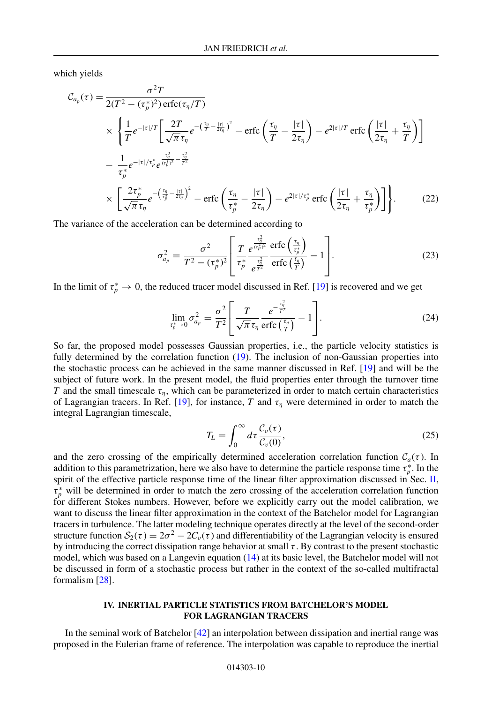<span id="page-9-0"></span>which yields

$$
C_{a_p}(\tau) = \frac{\sigma^2 T}{2(T^2 - (\tau_p^*)^2) \operatorname{erfc}(\tau_\eta/T)}
$$
  
\n
$$
\times \left\{ \frac{1}{T} e^{-|\tau|/T} \left[ \frac{2T}{\sqrt{\pi} \tau_\eta} e^{-\left(\frac{\tau_\eta}{T} - \frac{|\tau|}{2\tau_\eta}\right)^2} - \operatorname{erfc}\left(\frac{\tau_\eta}{T} - \frac{|\tau|}{2\tau_\eta}\right) - e^{2|\tau|/T} \operatorname{erfc}\left(\frac{|\tau|}{2\tau_\eta} + \frac{\tau_\eta}{T}\right) \right] \right\}
$$
  
\n
$$
- \frac{1}{\tau_p^*} e^{-|\tau|/\tau_p^*} e^{\frac{\tau_\eta^2}{(\tau_p^*)^2} - \frac{\tau_\eta^2}{T^2}}
$$
  
\n
$$
\times \left[ \frac{2\tau_p^*}{\sqrt{\pi} \tau_\eta} e^{-\left(\frac{\tau_\eta}{\tau_p^*} - \frac{|\tau|}{2\tau_\eta}\right)^2} - \operatorname{erfc}\left(\frac{\tau_\eta}{\tau_p^*} - \frac{|\tau|}{2\tau_\eta}\right) - e^{2|\tau|/\tau_p^*} \operatorname{erfc}\left(\frac{|\tau|}{2\tau_\eta} + \frac{\tau_\eta}{\tau_p^*}\right) \right] \right\}. \tag{22}
$$

The variance of the acceleration can be determined according to

$$
\sigma_{a_p}^2 = \frac{\sigma^2}{T^2 - (\tau_p^*)^2} \left[ \frac{T}{\tau_p^*} \frac{e^{\frac{\tau_p^2}{(\tau_p^*)^2}}}{e^{\frac{\tau_p^2}{T^2}}} \frac{\text{erfc}\left(\frac{\tau_\eta}{\tau_p^*}\right)}{\text{erfc}\left(\frac{\tau_\eta}{T}\right)} - 1 \right]. \tag{23}
$$

In the limit of  $\tau_p^* \to 0$ , the reduced tracer model discussed in Ref. [\[19\]](#page-15-0) is recovered and we get

$$
\lim_{\tau_p^* \to 0} \sigma_{a_p}^2 = \frac{\sigma^2}{T^2} \left[ \frac{T}{\sqrt{\pi} \tau_\eta} \frac{e^{-\frac{\tau_\eta^2}{T^2}}}{\text{erfc}\left(\frac{\tau_\eta}{T}\right)} - 1 \right]. \tag{24}
$$

So far, the proposed model possesses Gaussian properties, i.e., the particle velocity statistics is fully determined by the correlation function [\(19\)](#page-8-0). The inclusion of non-Gaussian properties into the stochastic process can be achieved in the same manner discussed in Ref. [\[19\]](#page-15-0) and will be the subject of future work. In the present model, the fluid properties enter through the turnover time *T* and the small timescale  $\tau_n$ , which can be parameterized in order to match certain characteristics of Lagrangian tracers. In Ref. [\[19\]](#page-15-0), for instance, *T* and  $\tau<sub>n</sub>$  were determined in order to match the integral Lagrangian timescale,

$$
T_L = \int_0^\infty d\tau \frac{\mathcal{C}_v(\tau)}{\mathcal{C}_v(0)},\tag{25}
$$

and the zero crossing of the empirically determined acceleration correlation function  $C_a(\tau)$ . In addition to this parametrization, here we also have to determine the particle response time  $\tau_p^*$ . In the spirit of the effective particle response time of the linear filter approximation discussed in Sec.  $\Pi$ ,  $\tau_p^*$  will be determined in order to match the zero crossing of the acceleration correlation function for different Stokes numbers. However, before we explicitly carry out the model calibration, we want to discuss the linear filter approximation in the context of the Batchelor model for Lagrangian tracers in turbulence. The latter modeling technique operates directly at the level of the second-order structure function  $S_2(\tau) = 2\sigma^2 - 2C_v(\tau)$  and differentiability of the Lagrangian velocity is ensured by introducing the correct dissipation range behavior at small  $\tau$ . By contrast to the present stochastic model, which was based on a Langevin equation [\(14\)](#page-7-0) at its basic level, the Batchelor model will not be discussed in form of a stochastic process but rather in the context of the so-called multifractal formalism [\[28\]](#page-15-0).

# **IV. INERTIAL PARTICLE STATISTICS FROM BATCHELOR'S MODEL FOR LAGRANGIAN TRACERS**

In the seminal work of Batchelor [\[42\]](#page-16-0) an interpolation between dissipation and inertial range was proposed in the Eulerian frame of reference. The interpolation was capable to reproduce the inertial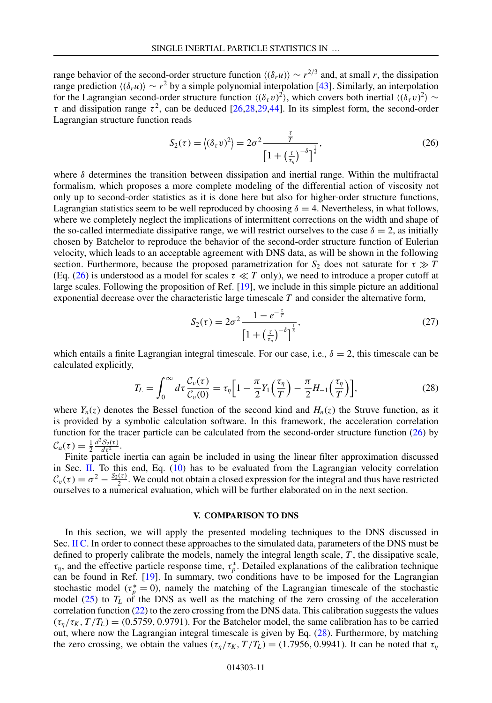<span id="page-10-0"></span>range behavior of the second-order structure function  $\langle (\delta_r u) \rangle \sim r^{2/3}$  and, at small *r*, the dissipation range prediction  $\langle (\delta_r u) \rangle \sim r^2$  by a simple polynomial interpolation [\[43\]](#page-16-0). Similarly, an interpolation for the Lagrangian second-order structure function  $\langle (\delta_\tau v)^2 \rangle$ , which covers both inertial  $\langle (\delta_\tau v)^2 \rangle \sim$  $\tau$  and dissipation range  $\tau^2$ , can be deduced [\[26,28,29,](#page-15-0)[44\]](#page-16-0). In its simplest form, the second-order Lagrangian structure function reads

$$
S_2(\tau) = \left\langle (\delta_\tau v)^2 \right\rangle = 2\sigma^2 \frac{\frac{\tau}{T}}{\left[1 + \left(\frac{\tau}{\tau_\eta}\right)^{-\delta}\right]^{\frac{1}{\delta}}},\tag{26}
$$

where  $\delta$  determines the transition between dissipation and inertial range. Within the multifractal formalism, which proposes a more complete modeling of the differential action of viscosity not only up to second-order statistics as it is done here but also for higher-order structure functions, Lagrangian statistics seem to be well reproduced by choosing  $\delta = 4$ . Nevertheless, in what follows, where we completely neglect the implications of intermittent corrections on the width and shape of the so-called intermediate dissipative range, we will restrict ourselves to the case  $\delta = 2$ , as initially chosen by Batchelor to reproduce the behavior of the second-order structure function of Eulerian velocity, which leads to an acceptable agreement with DNS data, as will be shown in the following section. Furthermore, because the proposed parametrization for  $S_2$  does not saturate for  $\tau \gg T$ (Eq. (26) is understood as a model for scales  $\tau \ll T$  only), we need to introduce a proper cutoff at large scales. Following the proposition of Ref. [\[19\]](#page-15-0), we include in this simple picture an additional exponential decrease over the characteristic large timescale *T* and consider the alternative form,

$$
S_2(\tau) = 2\sigma^2 \frac{1 - e^{-\frac{\tau}{T}}}{\left[1 + \left(\frac{\tau}{\tau_\eta}\right)^{-\delta}\right]^{\frac{1}{\delta}}},\tag{27}
$$

which entails a finite Lagrangian integral timescale. For our case, i.e.,  $\delta = 2$ , this timescale can be calculated explicitly,

$$
T_L = \int_0^\infty d\tau \frac{\mathcal{C}_v(\tau)}{\mathcal{C}_v(0)} = \tau_\eta \Big[ 1 - \frac{\pi}{2} Y_1 \Big(\frac{\tau_\eta}{T}\Big) - \frac{\pi}{2} H_{-1} \Big(\frac{\tau_\eta}{T}\Big) \Big],\tag{28}
$$

where  $Y_n(z)$  denotes the Bessel function of the second kind and  $H_n(z)$  the Struve function, as it is provided by a symbolic calculation software. In this framework, the acceleration correlation function for the tracer particle can be calculated from the second-order structure function  $(26)$  by  $\mathcal{C}_a(\tau) = \frac{1}{2} \frac{d^2 \mathcal{S}_2(\tau)}{d\tau^2}.$ 

Finite particle inertia can again be included in using the linear filter approximation discussed in Sec. [II.](#page-3-0) To this end, Eq.  $(10)$  has to be evaluated from the Lagrangian velocity correlation  $C_v(\tau) = \sigma^2 - \frac{S_2(\tau)}{2}$ . We could not obtain a closed expression for the integral and thus have restricted ourselves to a numerical evaluation, which will be further elaborated on in the next section.

#### **V. COMPARISON TO DNS**

In this section, we will apply the presented modeling techniques to the DNS discussed in Sec. [II C.](#page-4-0) In order to connect these approaches to the simulated data, parameters of the DNS must be defined to properly calibrate the models, namely the integral length scale, *T* , the dissipative scale,  $\tau_{\eta}$ , and the effective particle response time,  $\tau_p^*$ . Detailed explanations of the calibration technique can be found in Ref. [\[19\]](#page-15-0). In summary, two conditions have to be imposed for the Lagrangian stochastic model ( $\tau_p^* = 0$ ), namely the matching of the Lagrangian timescale of the stochastic model  $(25)$  to  $T<sub>L</sub>$  of the DNS as well as the matching of the zero crossing of the acceleration correlation function  $(22)$  to the zero crossing from the DNS data. This calibration suggests the values  $(\tau_n/\tau_K, T/T_L) = (0.5759, 0.9791)$ . For the Batchelor model, the same calibration has to be carried out, where now the Lagrangian integral timescale is given by Eq. (28). Furthermore, by matching the zero crossing, we obtain the values  $(\tau_{\eta}/\tau_K, T/T_L) = (1.7956, 0.9941)$ . It can be noted that  $\tau_{\eta}$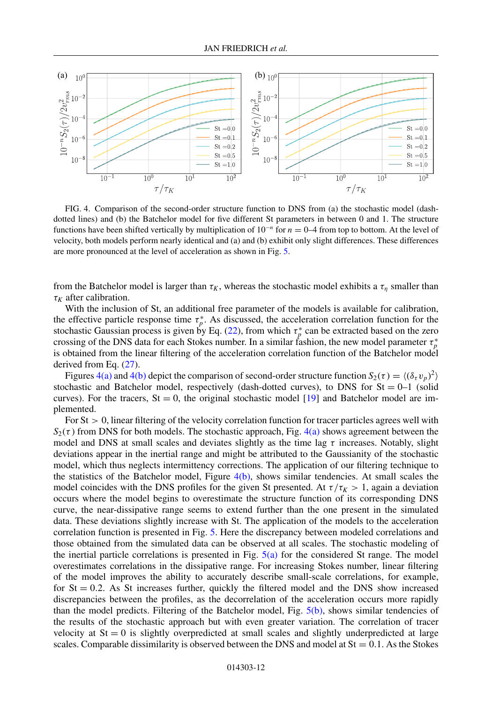

FIG. 4. Comparison of the second-order structure function to DNS from (a) the stochastic model (dashdotted lines) and (b) the Batchelor model for five different St parameters in between 0 and 1. The structure functions have been shifted vertically by multiplication of 10−*<sup>n</sup>* for *n* = 0–4 from top to bottom. At the level of velocity, both models perform nearly identical and (a) and (b) exhibit only slight differences. These differences are more pronounced at the level of acceleration as shown in Fig. [5.](#page-12-0)

from the Batchelor model is larger than  $\tau_K$ , whereas the stochastic model exhibits a  $\tau_n$  smaller than  $\tau_K$  after calibration.

With the inclusion of St, an additional free parameter of the models is available for calibration, the effective particle response time  $\tau_p^*$ . As discussed, the acceleration correlation function for the stochastic Gaussian process is given by Eq. [\(22\)](#page-9-0), from which  $\tau_p^*$  can be extracted based on the zero crossing of the DNS data for each Stokes number. In a similar fashion, the new model parameter  $\tau_p^*$ is obtained from the linear filtering of the acceleration correlation function of the Batchelor model derived from Eq. [\(27\)](#page-10-0).

Figures 4(a) and 4(b) depict the comparison of second-order structure function  $S_2(\tau) = \langle (\delta_\tau v_p)^2 \rangle$ stochastic and Batchelor model, respectively (dash-dotted curves), to DNS for  $St = 0-1$  (solid curves). For the tracers,  $St = 0$ , the original stochastic model [\[19\]](#page-15-0) and Batchelor model are implemented.

For  $St > 0$ , linear filtering of the velocity correlation function for tracer particles agrees well with  $S_2(\tau)$  from DNS for both models. The stochastic approach, Fig. 4(a) shows agreement between the model and DNS at small scales and deviates slightly as the time lag  $\tau$  increases. Notably, slight deviations appear in the inertial range and might be attributed to the Gaussianity of the stochastic model, which thus neglects intermittency corrections. The application of our filtering technique to the statistics of the Batchelor model, Figure 4(b), shows similar tendencies. At small scales the model coincides with the DNS profiles for the given St presented. At  $\tau/\tau_K > 1$ , again a deviation occurs where the model begins to overestimate the structure function of its corresponding DNS curve, the near-dissipative range seems to extend further than the one present in the simulated data. These deviations slightly increase with St. The application of the models to the acceleration correlation function is presented in Fig. [5.](#page-12-0) Here the discrepancy between modeled correlations and those obtained from the simulated data can be observed at all scales. The stochastic modeling of the inertial particle correlations is presented in Fig.  $5(a)$  for the considered St range. The model overestimates correlations in the dissipative range. For increasing Stokes number, linear filtering of the model improves the ability to accurately describe small-scale correlations, for example, for  $St = 0.2$ . As St increases further, quickly the filtered model and the DNS show increased discrepancies between the profiles, as the decorrelation of the acceleration occurs more rapidly than the model predicts. Filtering of the Batchelor model, Fig. [5\(b\),](#page-12-0) shows similar tendencies of the results of the stochastic approach but with even greater variation. The correlation of tracer velocity at  $St = 0$  is slightly overpredicted at small scales and slightly underpredicted at large scales. Comparable dissimilarity is observed between the DNS and model at  $St = 0.1$ . As the Stokes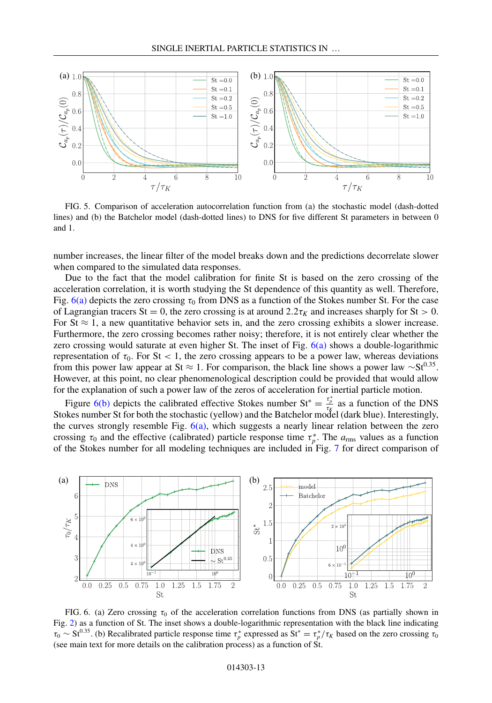<span id="page-12-0"></span>

FIG. 5. Comparison of acceleration autocorrelation function from (a) the stochastic model (dash-dotted lines) and (b) the Batchelor model (dash-dotted lines) to DNS for five different St parameters in between 0 and 1.

number increases, the linear filter of the model breaks down and the predictions decorrelate slower when compared to the simulated data responses.

Due to the fact that the model calibration for finite St is based on the zero crossing of the acceleration correlation, it is worth studying the St dependence of this quantity as well. Therefore, Fig. 6(a) depicts the zero crossing  $\tau_0$  from DNS as a function of the Stokes number St. For the case of Lagrangian tracers St = 0, the zero crossing is at around  $2.2\tau_K$  and increases sharply for St > 0. For St  $\approx$  1, a new quantitative behavior sets in, and the zero crossing exhibits a slower increase. Furthermore, the zero crossing becomes rather noisy; therefore, it is not entirely clear whether the zero crossing would saturate at even higher St. The inset of Fig.  $6(a)$  shows a double-logarithmic representation of  $\tau_0$ . For St < 1, the zero crossing appears to be a power law, whereas deviations from this power law appear at St  $\approx 1$ . For comparison, the black line shows a power law  $\sim$ St<sup>0.35</sup>. However, at this point, no clear phenomenological description could be provided that would allow for the explanation of such a power law of the zeros of acceleration for inertial particle motion.

Figure 6(b) depicts the calibrated effective Stokes number  $St^* = \frac{\tau_p^*}{\tau_K}$  as a function of the DNS Stokes number St for both the stochastic (yellow) and the Batchelor model (dark blue). Interestingly, the curves strongly resemble Fig.  $6(a)$ , which suggests a nearly linear relation between the zero crossing  $\tau_0$  and the effective (calibrated) particle response time  $\tau_p^*$ . The  $a_{\text{rms}}$  values as a function of the Stokes number for all modeling techniques are included in Fig. [7](#page-13-0) for direct comparison of



FIG. 6. (a) Zero crossing  $\tau_0$  of the acceleration correlation functions from DNS (as partially shown in Fig. [2\)](#page-6-0) as a function of St. The inset shows a double-logarithmic representation with the black line indicating  $\tau_0 \sim St^{0.35}$ . (b) Recalibrated particle response time  $\tau_p^*$  expressed as  $St^* = \tau_p^* / \tau_K$  based on the zero crossing  $\tau_0$ (see main text for more details on the calibration process) as a function of St.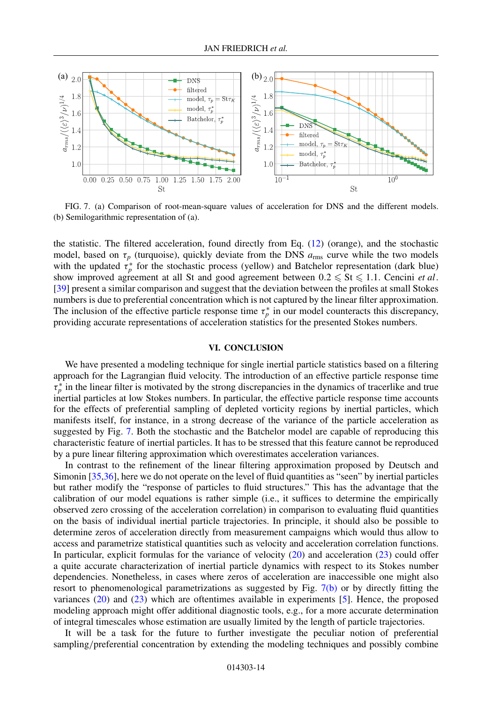<span id="page-13-0"></span>

FIG. 7. (a) Comparison of root-mean-square values of acceleration for DNS and the different models. (b) Semilogarithmic representation of (a).

the statistic. The filtered acceleration, found directly from Eq. [\(12\)](#page-4-0) (orange), and the stochastic model, based on  $\tau_p$  (turquoise), quickly deviate from the DNS  $a_{\text{rms}}$  curve while the two models with the updated  $\tau_p^*$  for the stochastic process (yellow) and Batchelor representation (dark blue) show improved agreement at all St and good agreement between  $0.2 \leqslant St \leqslant 1.1$ . Cencini *et al*. [\[39\]](#page-15-0) present a similar comparison and suggest that the deviation between the profiles at small Stokes numbers is due to preferential concentration which is not captured by the linear filter approximation. The inclusion of the effective particle response time  $\tau_p^*$  in our model counteracts this discrepancy, providing accurate representations of acceleration statistics for the presented Stokes numbers.

# **VI. CONCLUSION**

We have presented a modeling technique for single inertial particle statistics based on a filtering approach for the Lagrangian fluid velocity. The introduction of an effective particle response time  $\tau_p^*$  in the linear filter is motivated by the strong discrepancies in the dynamics of tracerlike and true inertial particles at low Stokes numbers. In particular, the effective particle response time accounts for the effects of preferential sampling of depleted vorticity regions by inertial particles, which manifests itself, for instance, in a strong decrease of the variance of the particle acceleration as suggested by Fig. 7. Both the stochastic and the Batchelor model are capable of reproducing this characteristic feature of inertial particles. It has to be stressed that this feature cannot be reproduced by a pure linear filtering approximation which overestimates acceleration variances.

In contrast to the refinement of the linear filtering approximation proposed by Deutsch and Simonin [\[35,36\]](#page-15-0), here we do not operate on the level of fluid quantities as "seen" by inertial particles but rather modify the "response of particles to fluid structures." This has the advantage that the calibration of our model equations is rather simple (i.e., it suffices to determine the empirically observed zero crossing of the acceleration correlation) in comparison to evaluating fluid quantities on the basis of individual inertial particle trajectories. In principle, it should also be possible to determine zeros of acceleration directly from measurement campaigns which would thus allow to access and parametrize statistical quantities such as velocity and acceleration correlation functions. In particular, explicit formulas for the variance of velocity [\(20\)](#page-8-0) and acceleration [\(23\)](#page-9-0) could offer a quite accurate characterization of inertial particle dynamics with respect to its Stokes number dependencies. Nonetheless, in cases where zeros of acceleration are inaccessible one might also resort to phenomenological parametrizations as suggested by Fig. 7(b) or by directly fitting the variances  $(20)$  and  $(23)$  which are oftentimes available in experiments  $[5]$ . Hence, the proposed modeling approach might offer additional diagnostic tools, e.g., for a more accurate determination of integral timescales whose estimation are usually limited by the length of particle trajectories.

It will be a task for the future to further investigate the peculiar notion of preferential sampling/preferential concentration by extending the modeling techniques and possibly combine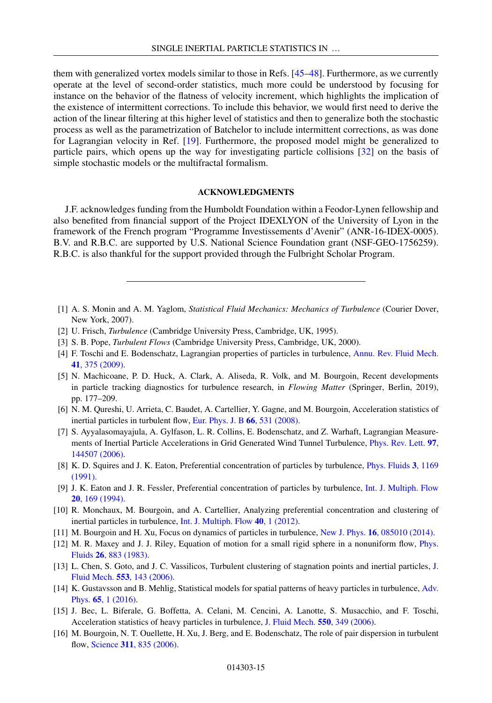<span id="page-14-0"></span>them with generalized vortex models similar to those in Refs. [\[45–48\]](#page-16-0). Furthermore, as we currently operate at the level of second-order statistics, much more could be understood by focusing for instance on the behavior of the flatness of velocity increment, which highlights the implication of the existence of intermittent corrections. To include this behavior, we would first need to derive the action of the linear filtering at this higher level of statistics and then to generalize both the stochastic process as well as the parametrization of Batchelor to include intermittent corrections, as was done for Lagrangian velocity in Ref. [\[19\]](#page-15-0). Furthermore, the proposed model might be generalized to particle pairs, which opens up the way for investigating particle collisions [\[32\]](#page-15-0) on the basis of simple stochastic models or the multifractal formalism.

# **ACKNOWLEDGMENTS**

J.F. acknowledges funding from the Humboldt Foundation within a Feodor-Lynen fellowship and also benefited from financial support of the Project IDEXLYON of the University of Lyon in the framework of the French program "Programme Investissements d'Avenir" (ANR-16-IDEX-0005). B.V. and R.B.C. are supported by U.S. National Science Foundation grant (NSF-GEO-1756259). R.B.C. is also thankful for the support provided through the Fulbright Scholar Program.

- [1] A. S. Monin and A. M. Yaglom, *Statistical Fluid Mechanics: Mechanics of Turbulence* (Courier Dover, New York, 2007).
- [2] U. Frisch, *Turbulence* (Cambridge University Press, Cambridge, UK, 1995).
- [3] S. B. Pope, *Turbulent Flows* (Cambridge University Press, Cambridge, UK, 2000).
- [4] [F. Toschi and E. Bodenschatz, Lagrangian properties of particles in turbulence,](https://doi.org/10.1146/annurev.fluid.010908.165210) Annu. Rev. Fluid Mech. **41**, 375 (2009).
- [5] N. Machicoane, P. D. Huck, A. Clark, A. Aliseda, R. Volk, and M. Bourgoin, Recent developments in particle tracking diagnostics for turbulence research, in *Flowing Matter* (Springer, Berlin, 2019), pp. 177–209.
- [6] N. M. Qureshi, U. Arrieta, C. Baudet, A. Cartellier, Y. Gagne, and M. Bourgoin, Acceleration statistics of inertial particles in turbulent flow, [Eur. Phys. J. B](https://doi.org/10.1140/epjb/e2008-00460-x) **66**, 531 (2008).
- [7] S. Ayyalasomayajula, A. Gylfason, L. R. Collins, E. Bodenschatz, and Z. Warhaft, Lagrangian Measure[ments of Inertial Particle Accelerations in Grid Generated Wind Tunnel Turbulence,](https://doi.org/10.1103/PhysRevLett.97.144507) Phys. Rev. Lett. **97**, 144507 (2006).
- [8] [K. D. Squires and J. K. Eaton, Preferential concentration of particles by turbulence,](https://doi.org/10.1063/1.858045) Phys. Fluids **3**, 1169 (1991).
- [9] [J. K. Eaton and J. R. Fessler, Preferential concentration of particles by turbulence,](https://doi.org/10.1016/0301-9322(94)90072-8) Int. J. Multiph. Flow **20**, 169 (1994).
- [10] R. Monchaux, M. Bourgoin, and A. Cartellier, Analyzing preferential concentration and clustering of inertial particles in turbulence, [Int. J. Multiph. Flow](https://doi.org/10.1016/j.ijmultiphaseflow.2011.12.001) **40**, 1 (2012).
- [11] M. Bourgoin and H. Xu, Focus on dynamics of particles in turbulence, New J. Phys. **16**[, 085010 \(2014\).](https://doi.org/10.1088/1367-2630/16/8/085010)
- [12] [M. R. Maxey and J. J. Riley, Equation of motion for a small rigid sphere in a nonuniform flow,](https://doi.org/10.1063/1.864230) Phys. Fluids **26**, 883 (1983).
- [13] [L. Chen, S. Goto, and J. C. Vassilicos, Turbulent clustering of stagnation points and inertial particles,](https://doi.org/10.1017/S0022112006009177) J. Fluid Mech. **553**, 143 (2006).
- [14] [K. Gustavsson and B. Mehlig, Statistical models for spatial patterns of heavy particles in turbulence,](https://doi.org/10.1080/00018732.2016.1164490) Adv. Phys. **65**, 1 (2016).
- [15] J. Bec, L. Biferale, G. Boffetta, A. Celani, M. Cencini, A. Lanotte, S. Musacchio, and F. Toschi, Acceleration statistics of heavy particles in turbulence, [J. Fluid Mech.](https://doi.org/10.1017/S002211200500844X) **550**, 349 (2006).
- [16] M. Bourgoin, N. T. Ouellette, H. Xu, J. Berg, and E. Bodenschatz, The role of pair dispersion in turbulent flow, Science **311**[, 835 \(2006\).](https://doi.org/10.1126/science.1121726)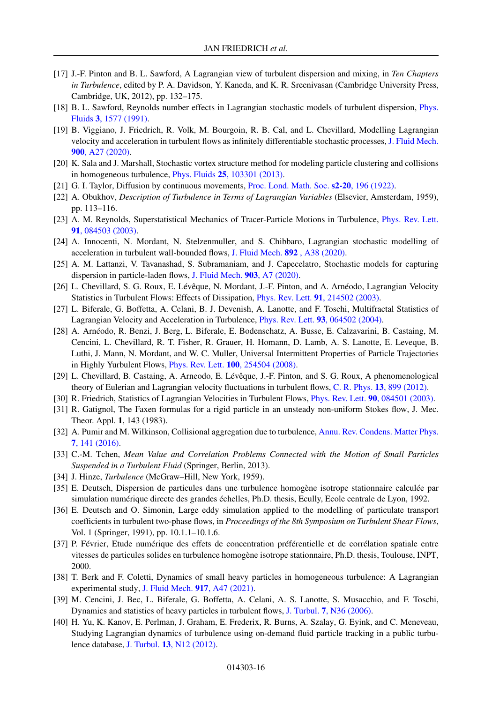- <span id="page-15-0"></span>[17] J.-F. Pinton and B. L. Sawford, A Lagrangian view of turbulent dispersion and mixing, in *Ten Chapters in Turbulence*, edited by P. A. Davidson, Y. Kaneda, and K. R. Sreenivasan (Cambridge University Press, Cambridge, UK, 2012), pp. 132–175.
- [18] [B. L. Sawford, Reynolds number effects in Lagrangian stochastic models of turbulent dispersion,](https://doi.org/10.1063/1.857937) Phys. Fluids **3**, 1577 (1991).
- [19] B. Viggiano, J. Friedrich, R. Volk, M. Bourgoin, R. B. Cal, and L. Chevillard, Modelling Lagrangian [velocity and acceleration in turbulent flows as infinitely differentiable stochastic processes,](https://doi.org/10.1017/jfm.2020.495) J. Fluid Mech. **900**, A27 (2020).
- [20] K. Sala and J. Marshall, Stochastic vortex structure method for modeling particle clustering and collisions in homogeneous turbulence, Phys. Fluids **25**[, 103301 \(2013\).](https://doi.org/10.1063/1.4824278)
- [21] G. I. Taylor, Diffusion by continuous movements, [Proc. Lond. Math. Soc.](https://doi.org/10.1112/plms/s2-20.1.196) **s2-20**, 196 (1922).
- [22] A. Obukhov, *Description of Turbulence in Terms of Lagrangian Variables* (Elsevier, Amsterdam, 1959), pp. 113–116.
- [23] [A. M. Reynolds, Superstatistical Mechanics of Tracer-Particle Motions in Turbulence,](https://doi.org/10.1103/PhysRevLett.91.084503) Phys. Rev. Lett. **91**, 084503 (2003).
- [24] A. Innocenti, N. Mordant, N. Stelzenmuller, and S. Chibbaro, Lagrangian stochastic modelling of acceleration in turbulent wall-bounded flows, [J. Fluid Mech.](https://doi.org/10.1017/jfm.2020.203) **892** , A38 (2020).
- [25] A. M. Lattanzi, V. Tavanashad, S. Subramaniam, and J. Capecelatro, Stochastic models for capturing dispersion in particle-laden flows, [J. Fluid Mech.](https://doi.org/10.1017/jfm.2020.625) **903**, A7 (2020).
- [26] L. Chevillard, S. G. Roux, E. Lévêque, N. Mordant, J.-F. Pinton, and A. Arnéodo, Lagrangian Velocity Statistics in Turbulent Flows: Effects of Dissipation, Phys. Rev. Lett. **91**[, 214502 \(2003\).](https://doi.org/10.1103/PhysRevLett.91.214502)
- [27] L. Biferale, G. Boffetta, A. Celani, B. J. Devenish, A. Lanotte, and F. Toschi, Multifractal Statistics of Lagrangian Velocity and Acceleration in Turbulence, Phys. Rev. Lett. **93**[, 064502 \(2004\).](https://doi.org/10.1103/PhysRevLett.93.064502)
- [28] A. Arnéodo, R. Benzi, J. Berg, L. Biferale, E. Bodenschatz, A. Busse, E. Calzavarini, B. Castaing, M. Cencini, L. Chevillard, R. T. Fisher, R. Grauer, H. Homann, D. Lamb, A. S. Lanotte, E. Leveque, B. Luthi, J. Mann, N. Mordant, and W. C. Muller, Universal Intermittent Properties of Particle Trajectories in Highly Yurbulent Flows, Phys. Rev. Lett. **100**[, 254504 \(2008\).](https://doi.org/10.1103/PhysRevLett.100.254504)
- [29] L. Chevillard, B. Castaing, A. Arneodo, E. Lévêque, J.-F. Pinton, and S. G. Roux, A phenomenological theory of Eulerian and Lagrangian velocity fluctuations in turbulent flows, C. R. Phys. **13**[, 899 \(2012\).](https://doi.org/10.1016/j.crhy.2012.09.002)
- [30] R. Friedrich, Statistics of Lagrangian Velocities in Turbulent Flows, Phys. Rev. Lett. **90**[, 084501 \(2003\).](https://doi.org/10.1103/PhysRevLett.90.084501)
- [31] R. Gatignol, The Faxen formulas for a rigid particle in an unsteady non-uniform Stokes flow, J. Mec. Theor. Appl. **1**, 143 (1983).
- [32] [A. Pumir and M. Wilkinson, Collisional aggregation due to turbulence,](https://doi.org/10.1146/annurev-conmatphys-031115-011538) Annu. Rev. Condens. Matter Phys. **7**, 141 (2016).
- [33] C.-M. Tchen, *Mean Value and Correlation Problems Connected with the Motion of Small Particles Suspended in a Turbulent Fluid* (Springer, Berlin, 2013).
- [34] J. Hinze, *Turbulence* (McGraw–Hill, New York, 1959).
- [35] E. Deutsch, Dispersion de particules dans une turbulence homogène isotrope stationnaire calculée par simulation numérique directe des grandes échelles, Ph.D. thesis, Ecully, Ecole centrale de Lyon, 1992.
- [36] E. Deutsch and O. Simonin, Large eddy simulation applied to the modelling of particulate transport coefficients in turbulent two-phase flows, in *Proceedings of the 8th Symposium on Turbulent Shear Flows*, Vol. 1 (Springer, 1991), pp. 10.1.1–10.1.6.
- [37] P. Février, Etude numérique des effets de concentration préférentielle et de corrélation spatiale entre vitesses de particules solides en turbulence homogène isotrope stationnaire, Ph.D. thesis, Toulouse, INPT, 2000.
- [38] T. Berk and F. Coletti, Dynamics of small heavy particles in homogeneous turbulence: A Lagrangian experimental study, [J. Fluid Mech.](https://doi.org/10.1017/jfm.2021.280) **917**, A47 (2021).
- [39] M. Cencini, J. Bec, L. Biferale, G. Boffetta, A. Celani, A. S. Lanotte, S. Musacchio, and F. Toschi, Dynamics and statistics of heavy particles in turbulent flows, J. Turbul. **7**[, N36 \(2006\).](https://doi.org/10.1080/14685240600675727)
- [40] H. Yu, K. Kanov, E. Perlman, J. Graham, E. Frederix, R. Burns, A. Szalay, G. Eyink, and C. Meneveau, Studying Lagrangian dynamics of turbulence using on-demand fluid particle tracking in a public turbulence database, J. Turbul. **13**[, N12 \(2012\).](https://doi.org/10.1080/14685248.2012.674643)